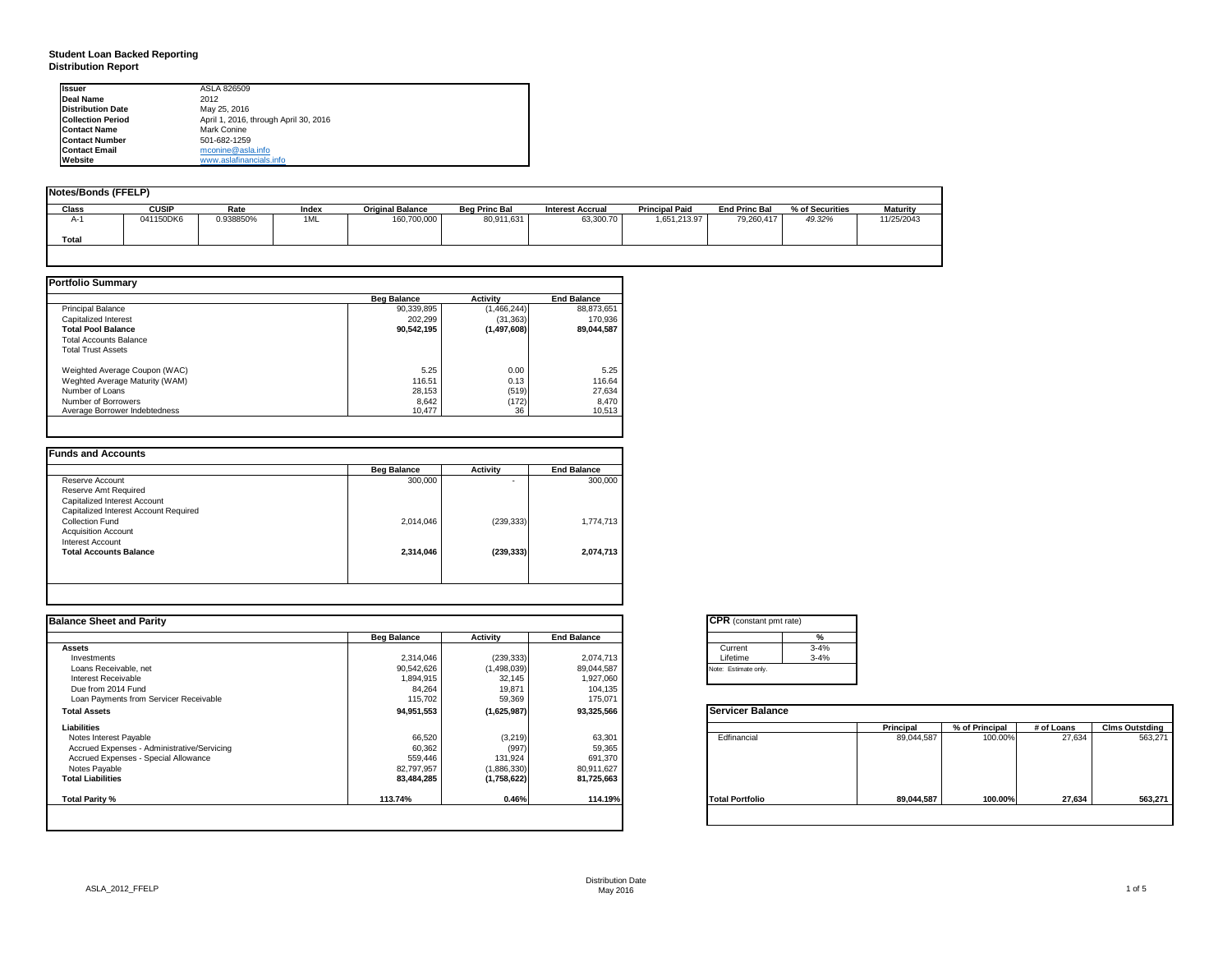# **Student Loan Backed Reporting Distribution Report**

| <b>Issuer</b>            | ASLA 826509                           |  |
|--------------------------|---------------------------------------|--|
| <b>Deal Name</b>         | 2012                                  |  |
| <b>Distribution Date</b> | May 25, 2016                          |  |
| <b>Collection Period</b> | April 1, 2016, through April 30, 2016 |  |
| <b>Contact Name</b>      | Mark Conine                           |  |
| <b>Contact Number</b>    | 501-682-1259                          |  |
| <b>Contact Email</b>     | mconine@asla.info                     |  |
| Website                  | www.aslafinancials.info               |  |

| Notes/Bonds (FFELP) |              |           |       |                         |                      |                         |                       |                      |                 |            |
|---------------------|--------------|-----------|-------|-------------------------|----------------------|-------------------------|-----------------------|----------------------|-----------------|------------|
| <b>Class</b>        | <b>CUSIP</b> | Rate      | Index | <b>Original Balance</b> | <b>Bea Princ Bal</b> | <b>Interest Accrual</b> | <b>Principal Paid</b> | <b>End Princ Bal</b> | % of Securities | Maturity   |
| $A-$                | 041150DK6    | 0.938850% | 1ML   | 160,700,000             | 80,911,631           | 63,300.70               | 1,651,213.97          | 79.260.417           | 49.32%          | 11/25/2043 |
| Total               |              |           |       |                         |                      |                         |                       |                      |                 |            |
|                     |              |           |       |                         |                      |                         |                       |                      |                 |            |

|                                | <b>Beg Balance</b> | <b>Activity</b> | <b>End Balance</b> |
|--------------------------------|--------------------|-----------------|--------------------|
| <b>Principal Balance</b>       | 90,339,895         | (1,466,244)     | 88,873,651         |
| Capitalized Interest           | 202.299            | (31, 363)       | 170,936            |
| <b>Total Pool Balance</b>      | 90,542,195         | (1,497,608)     | 89.044.587         |
| <b>Total Accounts Balance</b>  |                    |                 |                    |
| <b>Total Trust Assets</b>      |                    |                 |                    |
| Weighted Average Coupon (WAC)  | 5.25               | 0.00            | 5.25               |
| Weghted Average Maturity (WAM) | 116.51             | 0.13            | 116.64             |
| Number of Loans                | 28,153             | (519)           | 27,634             |
| Number of Borrowers            | 8.642              | (172)           | 8.470              |
| Average Borrower Indebtedness  | 10.477             | 36              | 10,513             |

|                                       | <b>Beg Balance</b> | Activity   | <b>End Balance</b> |
|---------------------------------------|--------------------|------------|--------------------|
| Reserve Account                       | 300,000            | ٠          | 300,000            |
| Reserve Amt Required                  |                    |            |                    |
| Capitalized Interest Account          |                    |            |                    |
| Capitalized Interest Account Required |                    |            |                    |
| Collection Fund                       | 2,014,046          | (239, 333) | 1,774,713          |
| <b>Acquisition Account</b>            |                    |            |                    |
| Interest Account                      |                    |            |                    |
| <b>Total Accounts Balance</b>         | 2,314,046          | (239, 333) | 2,074,713          |
|                                       |                    |            |                    |
|                                       |                    |            |                    |

| <b>Balance Sheet and Parity</b>             |                    |             |                    | <b>CPR</b> (constant pmt rate) |            |                |            |                       |
|---------------------------------------------|--------------------|-------------|--------------------|--------------------------------|------------|----------------|------------|-----------------------|
|                                             | <b>Beg Balance</b> | Activity    | <b>End Balance</b> | %                              |            |                |            |                       |
| <b>Assets</b>                               |                    |             |                    | $3 - 4%$<br>Current            |            |                |            |                       |
| Investments                                 | 2,314,046          | (239, 333)  | 2,074,713          | $3 - 4%$<br>Lifetime           |            |                |            |                       |
| Loans Receivable, net                       | 90,542,626         | (1,498,039) | 89,044,587         | Note: Estimate only.           |            |                |            |                       |
| Interest Receivable                         | 1,894,915          | 32,145      | 1,927,060          |                                |            |                |            |                       |
| Due from 2014 Fund                          | 84,264             | 19,871      | 104,135            |                                |            |                |            |                       |
| Loan Payments from Servicer Receivable      | 115,702            | 59,369      | 175,071            |                                |            |                |            |                       |
| <b>Total Assets</b>                         | 94,951,553         | (1,625,987) | 93,325,566         | <b>Servicer Balance</b>        |            |                |            |                       |
| Liabilities                                 |                    |             |                    |                                | Principal  | % of Principal | # of Loans | <b>Clms Outstding</b> |
| Notes Interest Payable                      | 66,520             | (3,219)     | 63,301             | Edfinancial                    | 89,044,587 | 100.00%        | 27,634     | 563,271               |
| Accrued Expenses - Administrative/Servicing | 60,362             | (997)       | 59,365             |                                |            |                |            |                       |
| Accrued Expenses - Special Allowance        | 559,446            | 131,924     | 691,370            |                                |            |                |            |                       |
| Notes Payable                               | 82,797,957         | (1,886,330) | 80,911,627         |                                |            |                |            |                       |
| <b>Total Liabilities</b>                    | 83,484,285         | (1,758,622) | 81,725,663         |                                |            |                |            |                       |
| Total Parity %                              | 113.74%            | 0.46%       | 114.19%            | <b>Total Portfolio</b>         | 89,044,587 | 100.00%        | 27,634     | 563,271               |

|          | $\frac{9}{6}$ |
|----------|---------------|
| Current  | $3 - 4%$      |
| Lifetime | $3 - 4%$      |

|                        | Principal  | % of Principal | # of Loans | <b>Clms Outstding</b> |
|------------------------|------------|----------------|------------|-----------------------|
| Edfinancial            | 89,044,587 | 100.00%        | 27,634     | 563,271               |
| <b>Total Portfolio</b> | 89,044,587 | 100.00%        | 27,634     | 563,271               |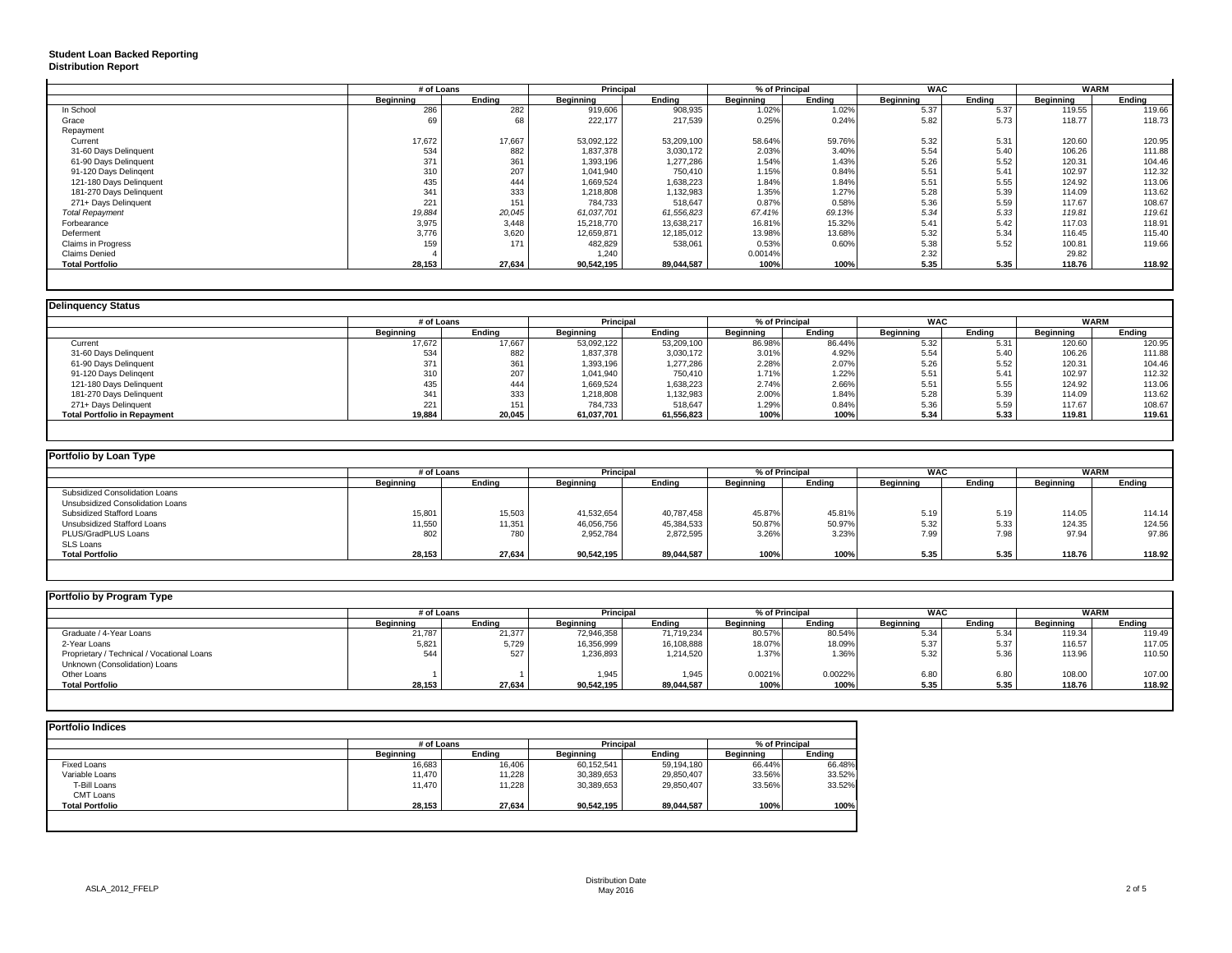# **Student Loan Backed Reporting Distribution Report**

|                         | # of Loans |        | Principal  |            |           | % of Principal | <b>WAC</b> |        | <b>WARM</b> |        |
|-------------------------|------------|--------|------------|------------|-----------|----------------|------------|--------|-------------|--------|
|                         | Beginning  | Endina | Beginning  | Ending     | Beginning | Endina         | Beginning  | Endina | Beginning   | Endina |
| In School               | 286        | 282    | 919,606    | 908,935    | 1.02%     | 1.02%          | 5.37       | 5.37   | 119.55      | 119.66 |
| Grace                   | 69         | 68     | 222,177    | 217,539    | 0.25%     | 0.24%          | 5.82       | 5.73   | 118.77      | 118.73 |
| Repayment               |            |        |            |            |           |                |            |        |             |        |
| Current                 | 17,672     | 17,667 | 53,092,122 | 53,209,100 | 58.64%    | 59.76%         | 5.32       | 5.31   | 120.60      | 120.95 |
| 31-60 Days Delinquent   | 534        | 882    | 1,837,378  | 3,030,172  | 2.03%     | 3.40%          | 5.54       | 5.40   | 106.26      | 111.88 |
| 61-90 Days Delinquent   | 371        | 361    | 1,393,196  | 1,277,286  | 1.54%     | 1.43%          | 5.26       | 5.52   | 120.31      | 104.46 |
| 91-120 Days Delingent   | 310        | 207    | 1,041,940  | 750.410    | 1.15%     | 0.84%          | 5.51       | 5.41   | 102.97      | 112.32 |
| 121-180 Days Delinquent | 435        | 444    | 1,669,524  | 1,638,223  | 1.84%     | 1.84%          | 5.51       | 5.55   | 124.92      | 113.06 |
| 181-270 Days Delinquent | 341        | 333    | 1,218,808  | 1,132,983  | 1.35%     | 1.27%          | 5.28       | 5.39   | 114.09      | 113.62 |
| 271+ Days Delinquent    | 221        | 151    | 784,733    | 518,647    | 0.87%     | 0.58%          | 5.36       | 5.59   | 117.67      | 108.67 |
| <b>Total Repayment</b>  | 19,884     | 20,045 | 61,037,701 | 61,556,823 | 67.41%    | 69.13%         | 5.34       | 5.33   | 119.81      | 119.61 |
| Forbearance             | 3,975      | 3,448  | 15,218,770 | 13,638,217 | 16.81%    | 15.32%         | 5.41       | 5.42   | 117.03      | 118.91 |
| Deferment               | 3,776      | 3,620  | 12,659,871 | 12,185,012 | 13.98%    | 13.68%         | 5.32       | 5.34   | 116.45      | 115.40 |
| Claims in Progress      | 159        | 171    | 482,829    | 538,061    | 0.53%     | 0.60%          | 5.38       | 5.52   | 100.81      | 119.66 |
| <b>Claims Denied</b>    |            |        | 1,240      |            | 0.0014%   |                | 2.32       |        | 29.82       |        |
| <b>Total Portfolio</b>  | 28,153     | 27.634 | 90,542,195 | 89.044.587 | 100%      | 100%           | 5.35       | 5.35   | 118.76      | 118.92 |

| <b>Delinquency Status</b>           |                  |        |                  |            |                  |        |            |        |                  |        |
|-------------------------------------|------------------|--------|------------------|------------|------------------|--------|------------|--------|------------------|--------|
|                                     | # of Loans       |        | <b>Principal</b> |            | % of Principal   |        | <b>WAC</b> |        | <b>WARM</b>      |        |
|                                     | <b>Beginning</b> | Endina | Beginning        | Endina     | <b>Beainning</b> | Endina | Beginning  | Endina | <b>Beainning</b> | Endina |
| Current                             | 17,672           | 17.667 | 53,092,122       | 53,209,100 | 86.98%           | 86.44% | 5.32       | 5.31   | 120.60           | 120.95 |
| 31-60 Days Delinquent               | 534              | 882    | 1,837,378        | 3,030,172  | 3.01%            | 4.92%  | 5.54       | 5.40   | 106.26           | 111.88 |
| 61-90 Days Delinquent               | 371              | 361    | 1,393,196        | 1,277,286  | 2.28%            | 2.07%  | 5.26       | 5.52   | 120.31           | 104.46 |
| 91-120 Days Delingent               | 310              | 207    | 1.041.940        | 750,410    | 1.71%            | 1.22%  | 5.51       | 5.41   | 102.97           | 112.32 |
| 121-180 Days Delinquent             | 435              | 444    | 1,669,524        | 1,638,223  | 2.74%            | 2.66%  | 5.51       | 5.55   | 124.92           | 113.06 |
| 181-270 Days Delinquent             | 341              | 333    | 1,218,808        | 132,983    | 2.00%            | 1.84%  | 5.28       | 5.39   | 114.09           | 113.62 |
| 271+ Days Delinquent                | 221              | 151    | 784,733          | 518,647    | 1.29%            | 0.84%  | 5.36       | 5.59   | 117.67           | 108.67 |
| <b>Total Portfolio in Repayment</b> | 19.884           | 20,045 | 61,037,701       | 61,556,823 | 100%             | 100%   | 5.34       | 5.33   | 119.81           | 119.61 |
|                                     |                  |        |                  |            |                  |        |            |        |                  |        |

| Portfolio by Loan Type           |                  |            |                  |            |           |                |           |            |           |             |
|----------------------------------|------------------|------------|------------------|------------|-----------|----------------|-----------|------------|-----------|-------------|
|                                  |                  | # of Loans |                  | Principal  |           | % of Principal |           | <b>WAC</b> |           | <b>WARM</b> |
|                                  | <b>Beginning</b> | Ending     | <b>Beginning</b> | Ending     | Beginning | Ending         | Beginning | Ending     | Beginning | Ending      |
| Subsidized Consolidation Loans   |                  |            |                  |            |           |                |           |            |           |             |
| Unsubsidized Consolidation Loans |                  |            |                  |            |           |                |           |            |           |             |
| Subsidized Stafford Loans        | 15,801           | 15,503     | 41.532.654       | 40.787.458 | 45.87%    | 45.81%         | 5.19      | 5.19       | 114.05    | 114.14      |
| Unsubsidized Stafford Loans      | 11,550           | 11,351     | 46,056,756       | 45,384,533 | 50.87%    | 50.97%         | 5.32      | 5.33       | 124.35    | 124.56      |
| PLUS/GradPLUS Loans              | 802              | 780        | 2,952,784        | 2,872,595  | 3.26%     | 3.23%          | 7.99      | 7.98       | 97.94     | 97.86       |
| SLS Loans                        |                  |            |                  |            |           |                |           |            |           |             |
| <b>Total Portfolio</b>           | 28,153           | 27,634     | 90,542,195       | 89,044,587 | 100%      | 100%           | 5.35      | 5.35       | 118.76    | 118.92      |
|                                  |                  |            |                  |            |           |                |           |            |           |             |

| Portfolio by Program Type                  |            |        |                  |            |                  |                |                  |            |           |             |
|--------------------------------------------|------------|--------|------------------|------------|------------------|----------------|------------------|------------|-----------|-------------|
|                                            | # of Loans |        | <b>Principal</b> |            |                  | % of Principal |                  | <b>WAC</b> |           | <b>WARM</b> |
|                                            | Beainnina  | Endina | <b>Beginning</b> | Endina     | <b>Beainning</b> | Ending         | <b>Beainning</b> | Ending     | Beginning | Ending      |
| Graduate / 4-Year Loans                    | 21,787     | 21,377 | 72,946,358       | 71,719,234 | 80.57%           | 80.54%         | 5.34             | 5.34       | 119.34    | 119.49      |
| 2-Year Loans                               | 5,821      | 5,729  | 16,356,999       | 16,108,888 | 18.07%           | 18.09%         | 5.37             | 5.37       | 116.57    | 117.05      |
| Proprietary / Technical / Vocational Loans | 544        | 527    | 1,236,893        | 1,214,520  | 1.37%            | 1.36%          | 5.32             | 5.36       | 113.96    | 110.50      |
| Unknown (Consolidation) Loans              |            |        |                  |            |                  |                |                  |            |           |             |
| Other Loans                                |            |        | 1.945            | 1.945      | 0.0021%          | 0.0022%        | 6.80             | 6.80       | 108.00    | 107.00      |
| <b>Total Portfolio</b>                     | 28,153     | 27,634 | 90,542,195       | 89,044,587 | 100%             | 100%           | 5.35             | 5.35       | 118.76    | 118.92      |

|                        | # of Loans       |        | Principal        |            | % of Principal   |        |  |
|------------------------|------------------|--------|------------------|------------|------------------|--------|--|
|                        | <b>Beainning</b> | Endina | <b>Beginning</b> | Endina     | <b>Beginning</b> | Endina |  |
| Fixed Loans            | 16,683           | 16.406 | 60,152,541       | 59,194,180 | 66.44%           | 66.48% |  |
| Variable Loans         | 11.470           | 11,228 | 30,389,653       | 29,850,407 | 33.56%           | 33.52% |  |
| T-Bill Loans           | 11.470           | 11,228 | 30,389,653       | 29,850,407 | 33.56%           | 33.52% |  |
| CMT Loans              |                  |        |                  |            |                  |        |  |
| <b>Total Portfolio</b> | 28,153           | 27.634 | 90,542,195       | 89,044,587 | 100%             | 100%   |  |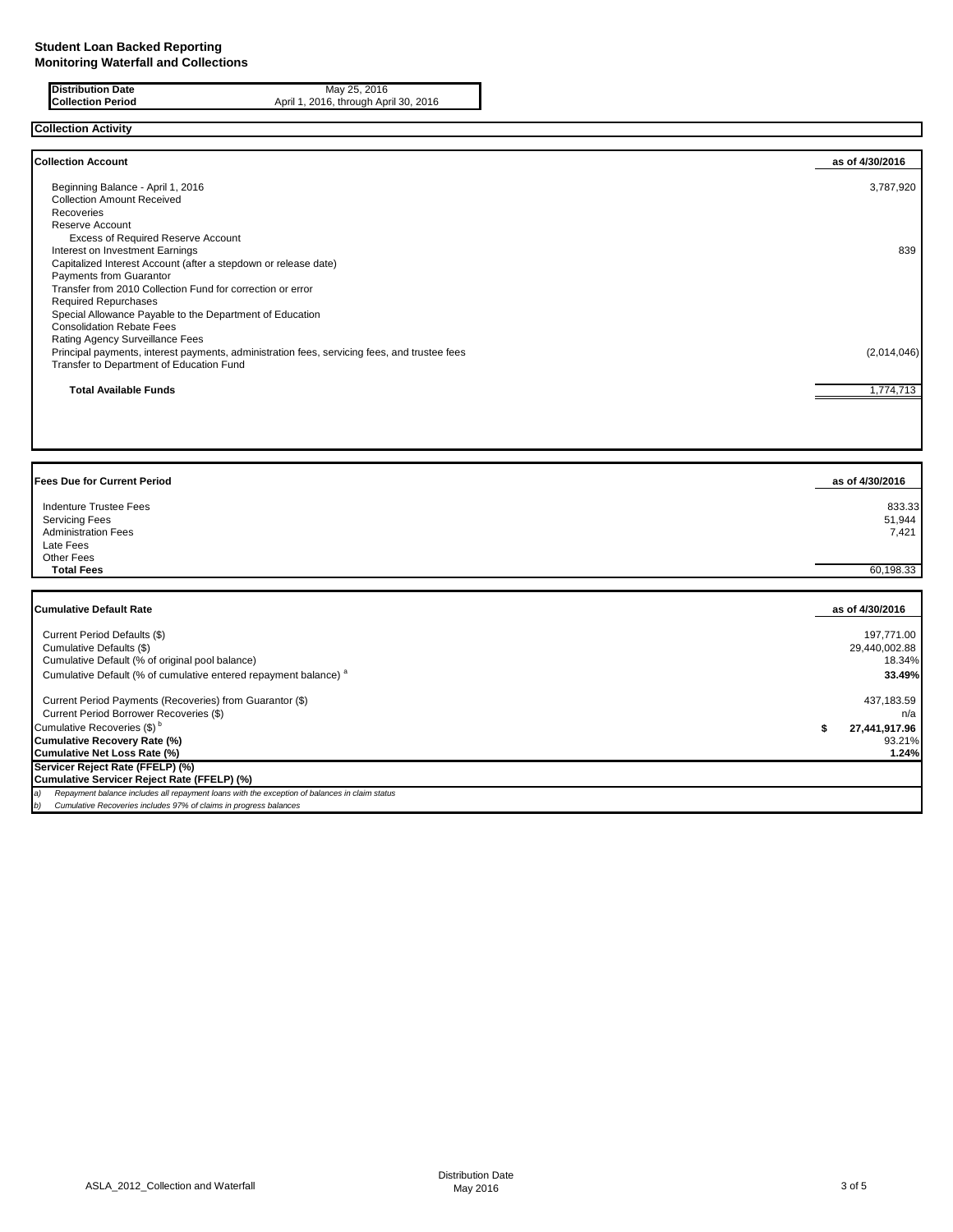| <b>Distribution Date</b> | May 25, 2016                          |
|--------------------------|---------------------------------------|
| <b>Collection Period</b> | April 1, 2016, through April 30, 2016 |
|                          |                                       |

## **Collection Activity**

| <b>Collection Account</b>                                                                    | as of 4/30/2016 |
|----------------------------------------------------------------------------------------------|-----------------|
| Beginning Balance - April 1, 2016                                                            | 3,787,920       |
| <b>Collection Amount Received</b>                                                            |                 |
| Recoveries                                                                                   |                 |
| Reserve Account                                                                              |                 |
| <b>Excess of Required Reserve Account</b>                                                    |                 |
| Interest on Investment Earnings                                                              | 839             |
| Capitalized Interest Account (after a stepdown or release date)                              |                 |
| Payments from Guarantor                                                                      |                 |
| Transfer from 2010 Collection Fund for correction or error                                   |                 |
| <b>Required Repurchases</b>                                                                  |                 |
| Special Allowance Payable to the Department of Education                                     |                 |
| <b>Consolidation Rebate Fees</b>                                                             |                 |
| Rating Agency Surveillance Fees                                                              |                 |
| Principal payments, interest payments, administration fees, servicing fees, and trustee fees | (2,014,046)     |
| Transfer to Department of Education Fund                                                     |                 |
| <b>Total Available Funds</b>                                                                 | 1,774,713       |

| <b>Fees Due for Current Period</b>                                                                                                                                             | as of 4/30/2016 |
|--------------------------------------------------------------------------------------------------------------------------------------------------------------------------------|-----------------|
| Indenture Trustee Fees                                                                                                                                                         | 833.33          |
| <b>Servicing Fees</b>                                                                                                                                                          | 51,944          |
| <b>Administration Fees</b>                                                                                                                                                     | 7.421           |
| Late Fees                                                                                                                                                                      |                 |
| <b>Other Fees</b><br><b>Total Fees</b>                                                                                                                                         |                 |
|                                                                                                                                                                                | 60,198.33       |
| <b>Cumulative Default Rate</b>                                                                                                                                                 | as of 4/30/2016 |
| Current Period Defaults (\$)                                                                                                                                                   | 197,771.00      |
| Cumulative Defaults (\$)                                                                                                                                                       | 29,440,002.88   |
| Cumulative Default (% of original pool balance)                                                                                                                                | 18.34%          |
| Cumulative Default (% of cumulative entered repayment balance) <sup>a</sup>                                                                                                    | 33.49%          |
| Current Period Payments (Recoveries) from Guarantor (\$)                                                                                                                       | 437,183.59      |
| Current Period Borrower Recoveries (\$)                                                                                                                                        | n/a             |
| Cumulative Recoveries (\$) <sup>b</sup>                                                                                                                                        | 27,441,917.96   |
| Cumulative Recovery Rate (%)                                                                                                                                                   | 93.21%          |
| Cumulative Net Loss Rate (%)                                                                                                                                                   | 1.24%           |
| Servicer Reject Rate (FFELP) (%)                                                                                                                                               |                 |
| Cumulative Servicer Reject Rate (FFELP) (%)                                                                                                                                    |                 |
| Repayment balance includes all repayment loans with the exception of balances in claim status<br>a)<br>Cumulative Recoveries includes 97% of claims in progress balances<br>b) |                 |
|                                                                                                                                                                                |                 |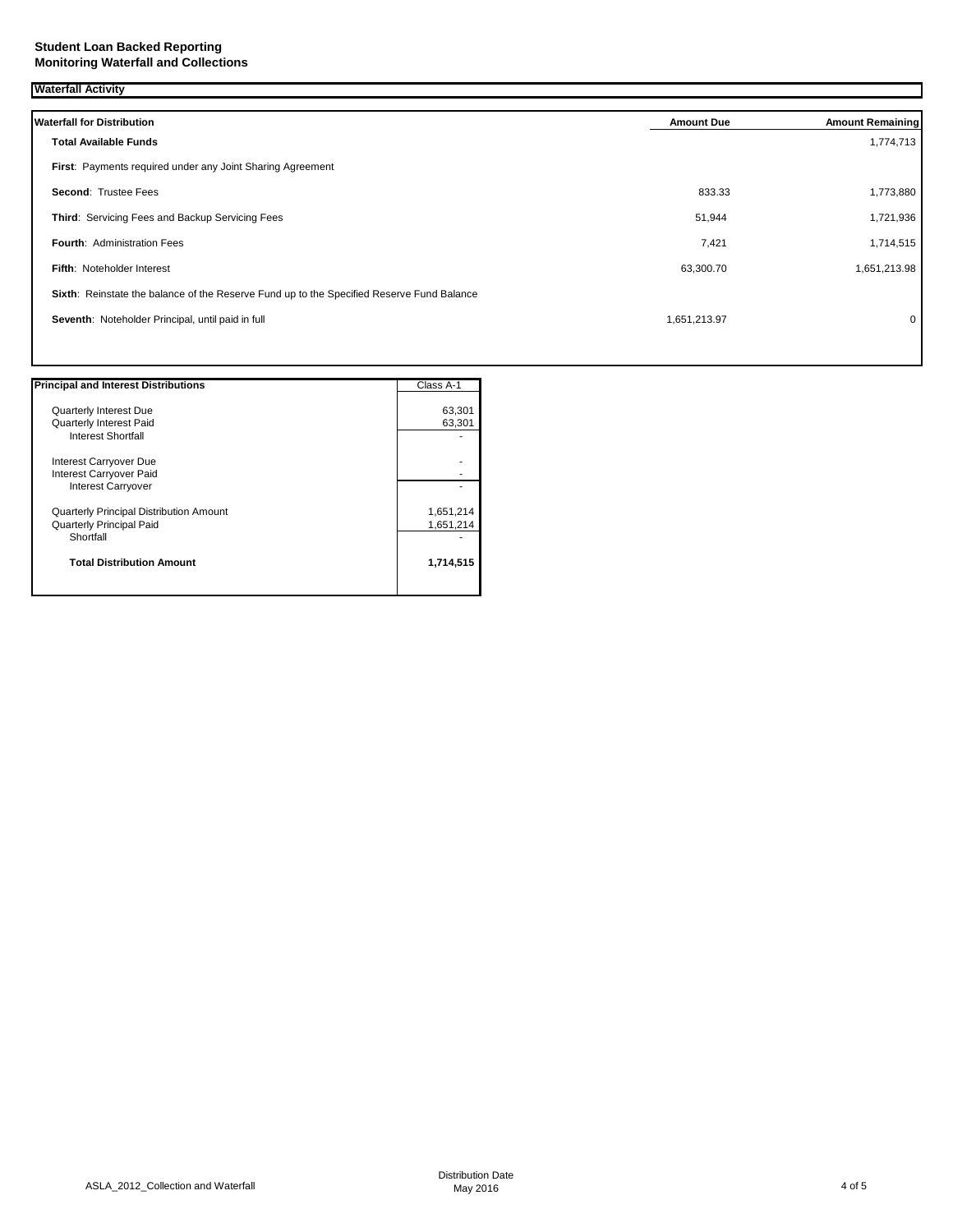#### **Student Loan Backed Reporting Monitoring Waterfall and Collections**

| <b>Waterfall Activity</b>                                                                 |                   |                         |
|-------------------------------------------------------------------------------------------|-------------------|-------------------------|
| <b>Waterfall for Distribution</b>                                                         | <b>Amount Due</b> | <b>Amount Remaining</b> |
| <b>Total Available Funds</b>                                                              |                   | 1,774,713               |
| First: Payments required under any Joint Sharing Agreement                                |                   |                         |
| Second: Trustee Fees                                                                      | 833.33            | 1,773,880               |
| Third: Servicing Fees and Backup Servicing Fees                                           | 51,944            | 1,721,936               |
| <b>Fourth: Administration Fees</b>                                                        | 7,421             | 1,714,515               |
| Fifth: Noteholder Interest                                                                | 63,300.70         | 1,651,213.98            |
| Sixth: Reinstate the balance of the Reserve Fund up to the Specified Reserve Fund Balance |                   |                         |
| Seventh: Noteholder Principal, until paid in full                                         | 1,651,213.97      | 0                       |
|                                                                                           |                   |                         |

| <b>Principal and Interest Distributions</b>    | Class A-1 |
|------------------------------------------------|-----------|
|                                                |           |
| <b>Quarterly Interest Due</b>                  | 63,301    |
| Quarterly Interest Paid                        | 63,301    |
| <b>Interest Shortfall</b>                      |           |
| Interest Carryover Due                         |           |
| Interest Carryover Paid                        |           |
| <b>Interest Carryover</b>                      |           |
| <b>Quarterly Principal Distribution Amount</b> | 1,651,214 |
| <b>Quarterly Principal Paid</b>                | 1,651,214 |
| Shortfall                                      |           |
| <b>Total Distribution Amount</b>               | 1,714,515 |
|                                                |           |

ī